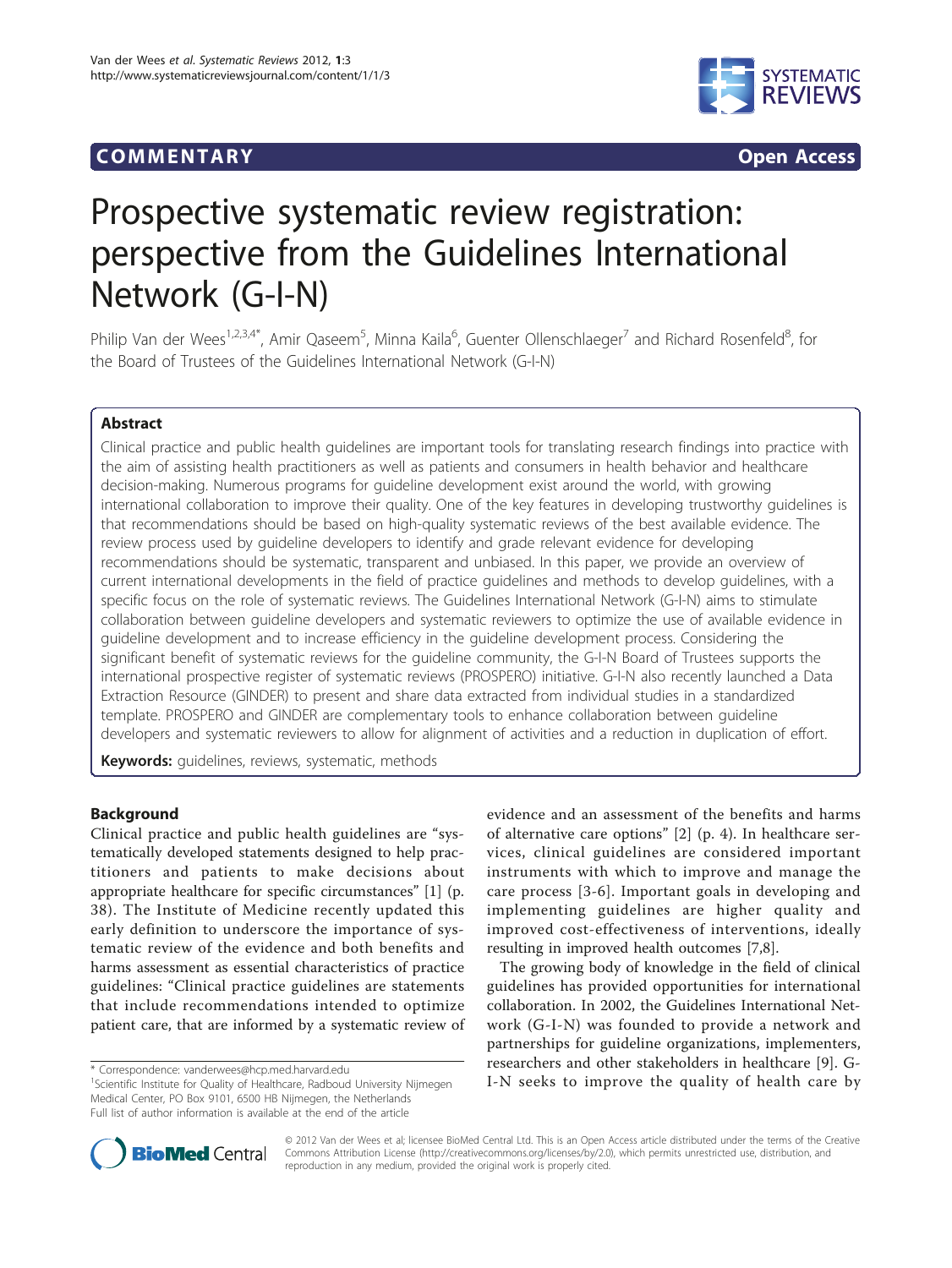## **COMMENTARY COMMENTARY Open Access**



# Prospective systematic review registration: perspective from the Guidelines International Network (G-I-N)

Philip Van der Wees<sup>1,2,3,4\*</sup>, Amir Qaseem<sup>5</sup>, Minna Kaila<sup>6</sup>, Guenter Ollenschlaeger<sup>7</sup> and Richard Rosenfeld<sup>8</sup>, for the Board of Trustees of the Guidelines International Network (G-I-N)

## Abstract

Clinical practice and public health guidelines are important tools for translating research findings into practice with the aim of assisting health practitioners as well as patients and consumers in health behavior and healthcare decision-making. Numerous programs for guideline development exist around the world, with growing international collaboration to improve their quality. One of the key features in developing trustworthy guidelines is that recommendations should be based on high-quality systematic reviews of the best available evidence. The review process used by guideline developers to identify and grade relevant evidence for developing recommendations should be systematic, transparent and unbiased. In this paper, we provide an overview of current international developments in the field of practice guidelines and methods to develop guidelines, with a specific focus on the role of systematic reviews. The Guidelines International Network (G-I-N) aims to stimulate collaboration between guideline developers and systematic reviewers to optimize the use of available evidence in guideline development and to increase efficiency in the guideline development process. Considering the significant benefit of systematic reviews for the guideline community, the G-I-N Board of Trustees supports the international prospective register of systematic reviews (PROSPERO) initiative. G-I-N also recently launched a Data Extraction Resource (GINDER) to present and share data extracted from individual studies in a standardized template. PROSPERO and GINDER are complementary tools to enhance collaboration between guideline developers and systematic reviewers to allow for alignment of activities and a reduction in duplication of effort.

Keywords: quidelines, reviews, systematic, methods

## Background

Clinical practice and public health guidelines are "systematically developed statements designed to help practitioners and patients to make decisions about appropriate healthcare for specific circumstances" [[1\]](#page-4-0) (p. 38). The Institute of Medicine recently updated this early definition to underscore the importance of systematic review of the evidence and both benefits and harms assessment as essential characteristics of practice guidelines: "Clinical practice guidelines are statements that include recommendations intended to optimize patient care, that are informed by a systematic review of

<sup>1</sup>Scientific Institute for Quality of Healthcare, Radboud University Nijmegen Medical Center, PO Box 9101, 6500 HB Nijmegen, the Netherlands Full list of author information is available at the end of the article

evidence and an assessment of the benefits and harms of alternative care options" [[2\]](#page-4-0) (p. 4). In healthcare services, clinical guidelines are considered important instruments with which to improve and manage the care process [[3](#page-4-0)-[6](#page-4-0)]. Important goals in developing and implementing guidelines are higher quality and improved cost-effectiveness of interventions, ideally resulting in improved health outcomes [\[7,8](#page-4-0)].

The growing body of knowledge in the field of clinical guidelines has provided opportunities for international collaboration. In 2002, the Guidelines International Network (G-I-N) was founded to provide a network and partnerships for guideline organizations, implementers, researchers and other stakeholders in healthcare [[9\]](#page-4-0). GI-N seed Correspondence: [vanderwees@hcp.med.harvard.edu](mailto:vanderwees@hcp.med.harvard.edu)<br>I-N seeks to improve the quality of health care by \* I-N seeks to improve the quality of health care by \* I-N



© 2012 Van der Wees et al; licensee BioMed Central Ltd. This is an Open Access article distributed under the terms of the Creative Commons Attribution License [\(http://creativecommons.org/licenses/by/2.0](http://creativecommons.org/licenses/by/2.0)), which permits unrestricted use, distribution, and reproduction in any medium, provided the original work is properly cited.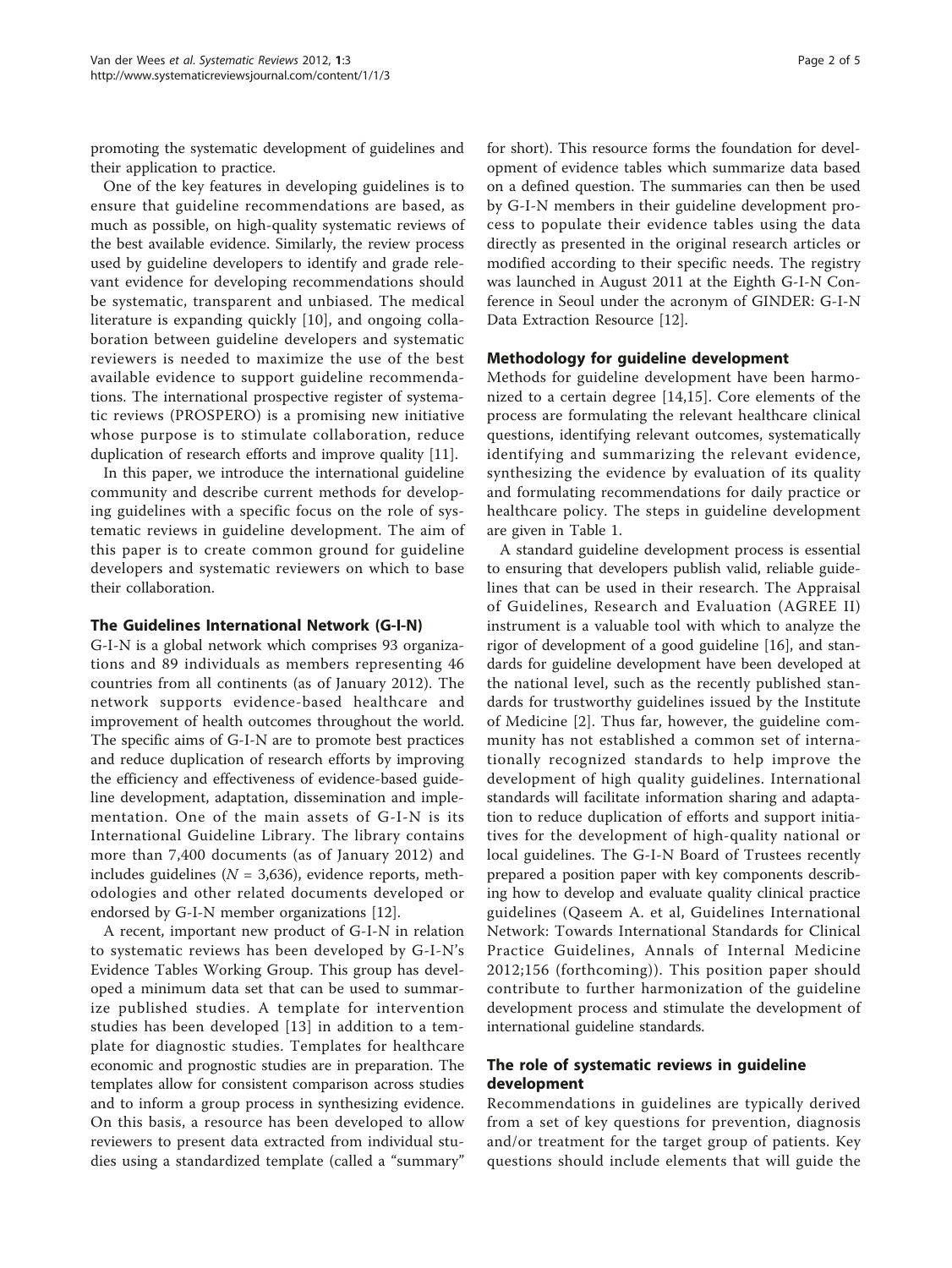promoting the systematic development of guidelines and their application to practice.

One of the key features in developing guidelines is to ensure that guideline recommendations are based, as much as possible, on high-quality systematic reviews of the best available evidence. Similarly, the review process used by guideline developers to identify and grade relevant evidence for developing recommendations should be systematic, transparent and unbiased. The medical literature is expanding quickly [\[10](#page-4-0)], and ongoing collaboration between guideline developers and systematic reviewers is needed to maximize the use of the best available evidence to support guideline recommendations. The international prospective register of systematic reviews (PROSPERO) is a promising new initiative whose purpose is to stimulate collaboration, reduce duplication of research efforts and improve quality [[11](#page-4-0)].

In this paper, we introduce the international guideline community and describe current methods for developing guidelines with a specific focus on the role of systematic reviews in guideline development. The aim of this paper is to create common ground for guideline developers and systematic reviewers on which to base their collaboration.

#### The Guidelines International Network (G-I-N)

G-I-N is a global network which comprises 93 organizations and 89 individuals as members representing 46 countries from all continents (as of January 2012). The network supports evidence-based healthcare and improvement of health outcomes throughout the world. The specific aims of G-I-N are to promote best practices and reduce duplication of research efforts by improving the efficiency and effectiveness of evidence-based guideline development, adaptation, dissemination and implementation. One of the main assets of G-I-N is its International Guideline Library. The library contains more than 7,400 documents (as of January 2012) and includes guidelines ( $N = 3,636$ ), evidence reports, methodologies and other related documents developed or endorsed by G-I-N member organizations [[12](#page-4-0)].

A recent, important new product of G-I-N in relation to systematic reviews has been developed by G-I-N's Evidence Tables Working Group. This group has developed a minimum data set that can be used to summarize published studies. A template for intervention studies has been developed [[13](#page-4-0)] in addition to a template for diagnostic studies. Templates for healthcare economic and prognostic studies are in preparation. The templates allow for consistent comparison across studies and to inform a group process in synthesizing evidence. On this basis, a resource has been developed to allow reviewers to present data extracted from individual studies using a standardized template (called a "summary" for short). This resource forms the foundation for development of evidence tables which summarize data based on a defined question. The summaries can then be used by G-I-N members in their guideline development process to populate their evidence tables using the data directly as presented in the original research articles or modified according to their specific needs. The registry was launched in August 2011 at the Eighth G-I-N Conference in Seoul under the acronym of GINDER: G-I-N Data Extraction Resource [[12](#page-4-0)].

### Methodology for guideline development

Methods for guideline development have been harmonized to a certain degree [[14,15\]](#page-4-0). Core elements of the process are formulating the relevant healthcare clinical questions, identifying relevant outcomes, systematically identifying and summarizing the relevant evidence, synthesizing the evidence by evaluation of its quality and formulating recommendations for daily practice or healthcare policy. The steps in guideline development are given in Table [1](#page-2-0).

A standard guideline development process is essential to ensuring that developers publish valid, reliable guidelines that can be used in their research. The Appraisal of Guidelines, Research and Evaluation (AGREE II) instrument is a valuable tool with which to analyze the rigor of development of a good guideline [\[16](#page-4-0)], and standards for guideline development have been developed at the national level, such as the recently published standards for trustworthy guidelines issued by the Institute of Medicine [[2](#page-4-0)]. Thus far, however, the guideline community has not established a common set of internationally recognized standards to help improve the development of high quality guidelines. International standards will facilitate information sharing and adaptation to reduce duplication of efforts and support initiatives for the development of high-quality national or local guidelines. The G-I-N Board of Trustees recently prepared a position paper with key components describing how to develop and evaluate quality clinical practice guidelines (Qaseem A. et al, Guidelines International Network: Towards International Standards for Clinical Practice Guidelines, Annals of Internal Medicine 2012;156 (forthcoming)). This position paper should contribute to further harmonization of the guideline development process and stimulate the development of international guideline standards.

## The role of systematic reviews in guideline development

Recommendations in guidelines are typically derived from a set of key questions for prevention, diagnosis and/or treatment for the target group of patients. Key questions should include elements that will guide the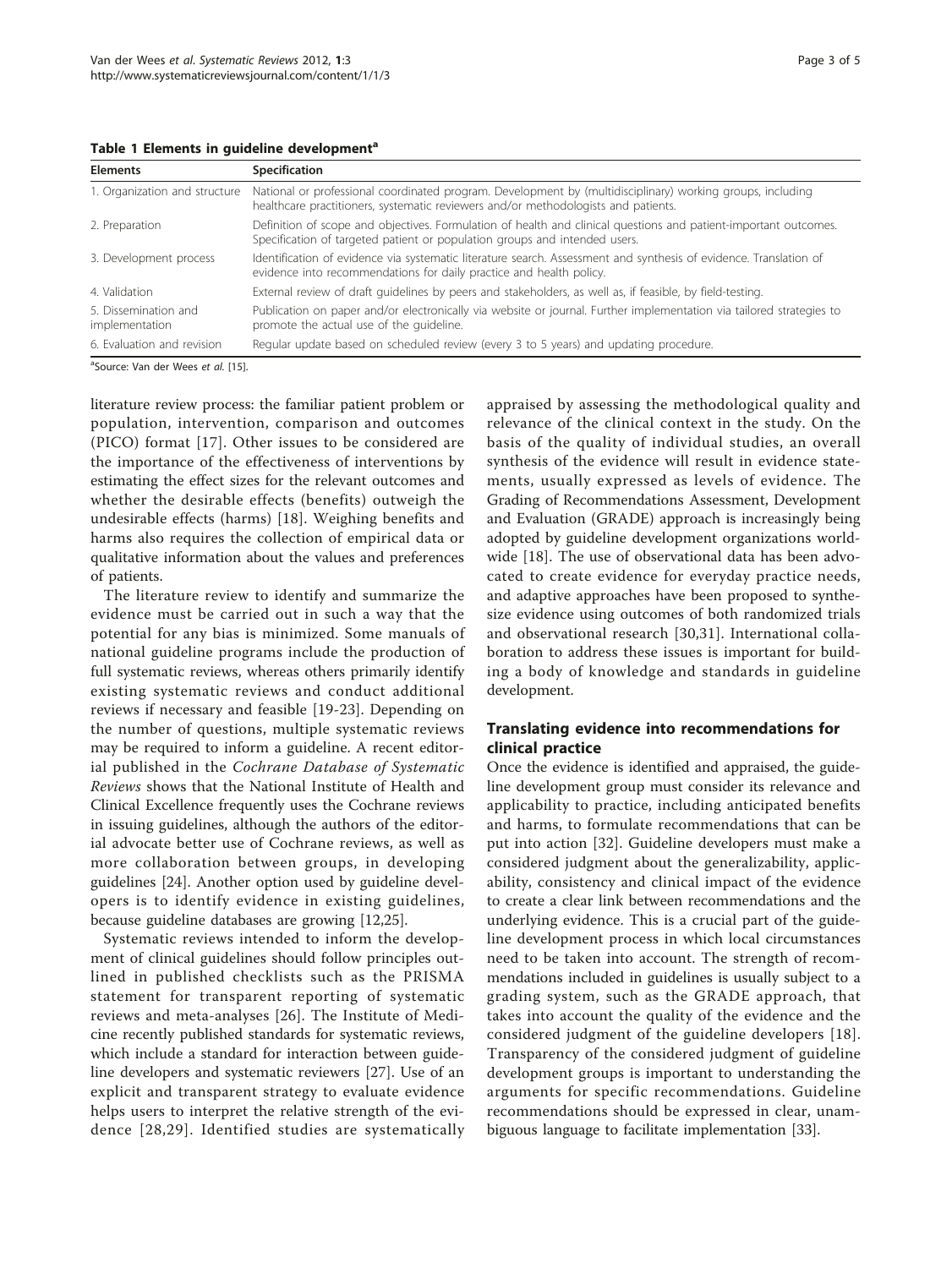<span id="page-2-0"></span>Table 1 Elements in guideline development<sup>a</sup>

| <b>Elements</b>                        | Specification                                                                                                                                                                                    |
|----------------------------------------|--------------------------------------------------------------------------------------------------------------------------------------------------------------------------------------------------|
| 1. Organization and structure          | National or professional coordinated program. Development by (multidisciplinary) working groups, including<br>healthcare practitioners, systematic reviewers and/or methodologists and patients. |
| 2. Preparation                         | Definition of scope and objectives. Formulation of health and clinical questions and patient-important outcomes.<br>Specification of targeted patient or population groups and intended users.   |
| 3. Development process                 | Identification of evidence via systematic literature search. Assessment and synthesis of evidence. Translation of<br>evidence into recommendations for daily practice and health policy.         |
| 4. Validation                          | External review of draft quidelines by peers and stakeholders, as well as, if feasible, by field-testing.                                                                                        |
| 5. Dissemination and<br>implementation | Publication on paper and/or electronically via website or journal. Further implementation via tailored strategies to<br>promote the actual use of the quideline.                                 |
| 6. Evaluation and revision             | Regular update based on scheduled review (every 3 to 5 years) and updating procedure.                                                                                                            |

<sup>a</sup>Source: Van der Wees et al. [[15\]](#page-4-0).

literature review process: the familiar patient problem or population, intervention, comparison and outcomes (PICO) format [[17](#page-4-0)]. Other issues to be considered are the importance of the effectiveness of interventions by estimating the effect sizes for the relevant outcomes and whether the desirable effects (benefits) outweigh the undesirable effects (harms) [[18\]](#page-4-0). Weighing benefits and harms also requires the collection of empirical data or qualitative information about the values and preferences of patients.

The literature review to identify and summarize the evidence must be carried out in such a way that the potential for any bias is minimized. Some manuals of national guideline programs include the production of full systematic reviews, whereas others primarily identify existing systematic reviews and conduct additional reviews if necessary and feasible [[19-23](#page-4-0)]. Depending on the number of questions, multiple systematic reviews may be required to inform a guideline. A recent editorial published in the Cochrane Database of Systematic Reviews shows that the National Institute of Health and Clinical Excellence frequently uses the Cochrane reviews in issuing guidelines, although the authors of the editorial advocate better use of Cochrane reviews, as well as more collaboration between groups, in developing guidelines [\[24](#page-4-0)]. Another option used by guideline developers is to identify evidence in existing guidelines, because guideline databases are growing [\[12,25](#page-4-0)].

Systematic reviews intended to inform the development of clinical guidelines should follow principles outlined in published checklists such as the PRISMA statement for transparent reporting of systematic reviews and meta-analyses [\[26](#page-4-0)]. The Institute of Medicine recently published standards for systematic reviews, which include a standard for interaction between guideline developers and systematic reviewers [[27\]](#page-4-0). Use of an explicit and transparent strategy to evaluate evidence helps users to interpret the relative strength of the evidence [[28,29](#page-4-0)]. Identified studies are systematically

appraised by assessing the methodological quality and relevance of the clinical context in the study. On the basis of the quality of individual studies, an overall synthesis of the evidence will result in evidence statements, usually expressed as levels of evidence. The Grading of Recommendations Assessment, Development and Evaluation (GRADE) approach is increasingly being adopted by guideline development organizations worldwide [\[18](#page-4-0)]. The use of observational data has been advocated to create evidence for everyday practice needs, and adaptive approaches have been proposed to synthesize evidence using outcomes of both randomized trials and observational research [\[30](#page-4-0),[31\]](#page-4-0). International collaboration to address these issues is important for building a body of knowledge and standards in guideline development.

## Translating evidence into recommendations for clinical practice

Once the evidence is identified and appraised, the guideline development group must consider its relevance and applicability to practice, including anticipated benefits and harms, to formulate recommendations that can be put into action [\[32](#page-4-0)]. Guideline developers must make a considered judgment about the generalizability, applicability, consistency and clinical impact of the evidence to create a clear link between recommendations and the underlying evidence. This is a crucial part of the guideline development process in which local circumstances need to be taken into account. The strength of recommendations included in guidelines is usually subject to a grading system, such as the GRADE approach, that takes into account the quality of the evidence and the considered judgment of the guideline developers [[18](#page-4-0)]. Transparency of the considered judgment of guideline development groups is important to understanding the arguments for specific recommendations. Guideline recommendations should be expressed in clear, unambiguous language to facilitate implementation [\[33](#page-4-0)].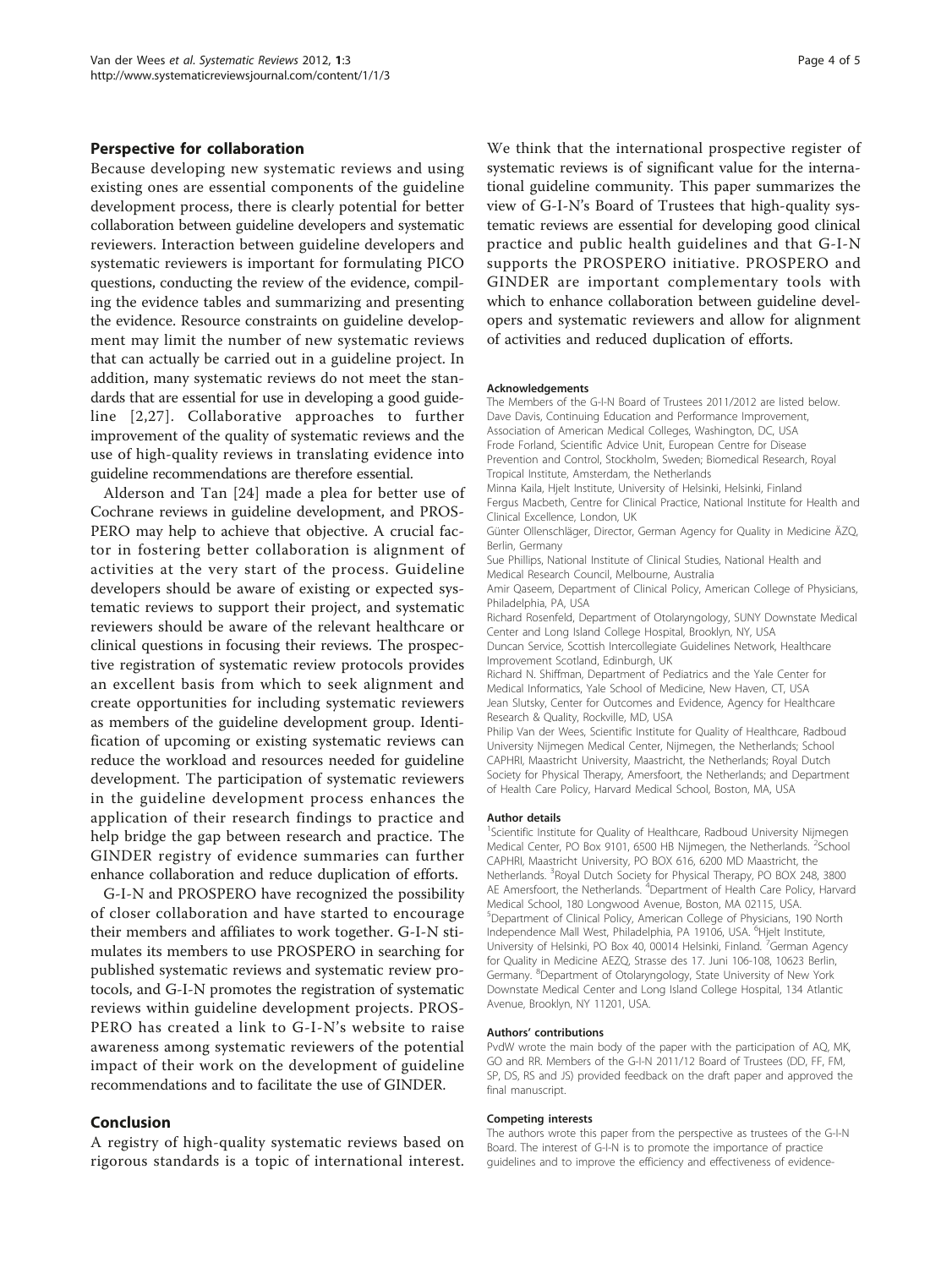### Perspective for collaboration

Because developing new systematic reviews and using existing ones are essential components of the guideline development process, there is clearly potential for better collaboration between guideline developers and systematic reviewers. Interaction between guideline developers and systematic reviewers is important for formulating PICO questions, conducting the review of the evidence, compiling the evidence tables and summarizing and presenting the evidence. Resource constraints on guideline development may limit the number of new systematic reviews that can actually be carried out in a guideline project. In addition, many systematic reviews do not meet the standards that are essential for use in developing a good guideline [[2](#page-4-0),[27](#page-4-0)]. Collaborative approaches to further improvement of the quality of systematic reviews and the use of high-quality reviews in translating evidence into guideline recommendations are therefore essential.

Alderson and Tan [[24](#page-4-0)] made a plea for better use of Cochrane reviews in guideline development, and PROS-PERO may help to achieve that objective. A crucial factor in fostering better collaboration is alignment of activities at the very start of the process. Guideline developers should be aware of existing or expected systematic reviews to support their project, and systematic reviewers should be aware of the relevant healthcare or clinical questions in focusing their reviews. The prospective registration of systematic review protocols provides an excellent basis from which to seek alignment and create opportunities for including systematic reviewers as members of the guideline development group. Identification of upcoming or existing systematic reviews can reduce the workload and resources needed for guideline development. The participation of systematic reviewers in the guideline development process enhances the application of their research findings to practice and help bridge the gap between research and practice. The GINDER registry of evidence summaries can further enhance collaboration and reduce duplication of efforts.

G-I-N and PROSPERO have recognized the possibility of closer collaboration and have started to encourage their members and affiliates to work together. G-I-N stimulates its members to use PROSPERO in searching for published systematic reviews and systematic review protocols, and G-I-N promotes the registration of systematic reviews within guideline development projects. PROS-PERO has created a link to G-I-N's website to raise awareness among systematic reviewers of the potential impact of their work on the development of guideline recommendations and to facilitate the use of GINDER.

### Conclusion

A registry of high-quality systematic reviews based on rigorous standards is a topic of international interest. We think that the international prospective register of systematic reviews is of significant value for the international guideline community. This paper summarizes the view of G-I-N's Board of Trustees that high-quality systematic reviews are essential for developing good clinical practice and public health guidelines and that G-I-N supports the PROSPERO initiative. PROSPERO and GINDER are important complementary tools with which to enhance collaboration between guideline developers and systematic reviewers and allow for alignment of activities and reduced duplication of efforts.

#### Acknowledgements

The Members of the G-I-N Board of Trustees 2011/2012 are listed below. Dave Davis, Continuing Education and Performance Improvement, Association of American Medical Colleges, Washington, DC, USA Frode Forland, Scientific Advice Unit, European Centre for Disease Prevention and Control, Stockholm, Sweden; Biomedical Research, Royal Tropical Institute, Amsterdam, the Netherlands Minna Kaila, Hjelt Institute, University of Helsinki, Helsinki, Finland

Fergus Macbeth, Centre for Clinical Practice, National Institute for Health and Clinical Excellence, London, UK

Günter Ollenschläger, Director, German Agency for Quality in Medicine ÄZQ, Berlin, Germany

Sue Phillips, National Institute of Clinical Studies, National Health and Medical Research Council, Melbourne, Australia

Amir Qaseem, Department of Clinical Policy, American College of Physicians, Philadelphia, PA, USA

Richard Rosenfeld, Department of Otolaryngology, SUNY Downstate Medical Center and Long Island College Hospital, Brooklyn, NY, USA Duncan Service, Scottish Intercollegiate Guidelines Network, Healthcare

Improvement Scotland, Edinburgh, UK Richard N. Shiffman, Department of Pediatrics and the Yale Center for Medical Informatics, Yale School of Medicine, New Haven, CT, USA Jean Slutsky, Center for Outcomes and Evidence, Agency for Healthcare Research & Quality, Rockville, MD, USA

Philip Van der Wees, Scientific Institute for Quality of Healthcare, Radboud University Nijmegen Medical Center, Nijmegen, the Netherlands; School CAPHRI, Maastricht University, Maastricht, the Netherlands; Royal Dutch Society for Physical Therapy, Amersfoort, the Netherlands; and Department of Health Care Policy, Harvard Medical School, Boston, MA, USA

#### Author details

<sup>1</sup>Scientific Institute for Quality of Healthcare, Radboud University Nijmegen Medical Center, PO Box 9101, 6500 HB Nijmegen, the Netherlands. <sup>2</sup>School CAPHRI, Maastricht University, PO BOX 616, 6200 MD Maastricht, the Netherlands. <sup>3</sup> Royal Dutch Society for Physical Therapy, PO BOX 248, 3800 AE Amersfoort, the Netherlands. <sup>4</sup>Department of Health Care Policy, Harvard Medical School, 180 Longwood Avenue, Boston, MA 02115, USA. 5 Department of Clinical Policy, American College of Physicians, 190 North Independence Mall West, Philadelphia, PA 19106, USA. <sup>6</sup>Hjelt Institute, University of Helsinki, PO Box 40, 00014 Helsinki, Finland. <sup>7</sup>German Agency for Quality in Medicine AEZQ, Strasse des 17. Juni 106-108, 10623 Berlin, Germany. <sup>8</sup>Department of Otolaryngology, State University of New York Downstate Medical Center and Long Island College Hospital, 134 Atlantic Avenue, Brooklyn, NY 11201, USA.

#### Authors' contributions

PvdW wrote the main body of the paper with the participation of AQ, MK, GO and RR. Members of the G-I-N 2011/12 Board of Trustees (DD, FF, FM, SP, DS, RS and JS) provided feedback on the draft paper and approved the final manuscript.

#### Competing interests

The authors wrote this paper from the perspective as trustees of the G-I-N Board. The interest of G-I-N is to promote the importance of practice guidelines and to improve the efficiency and effectiveness of evidence